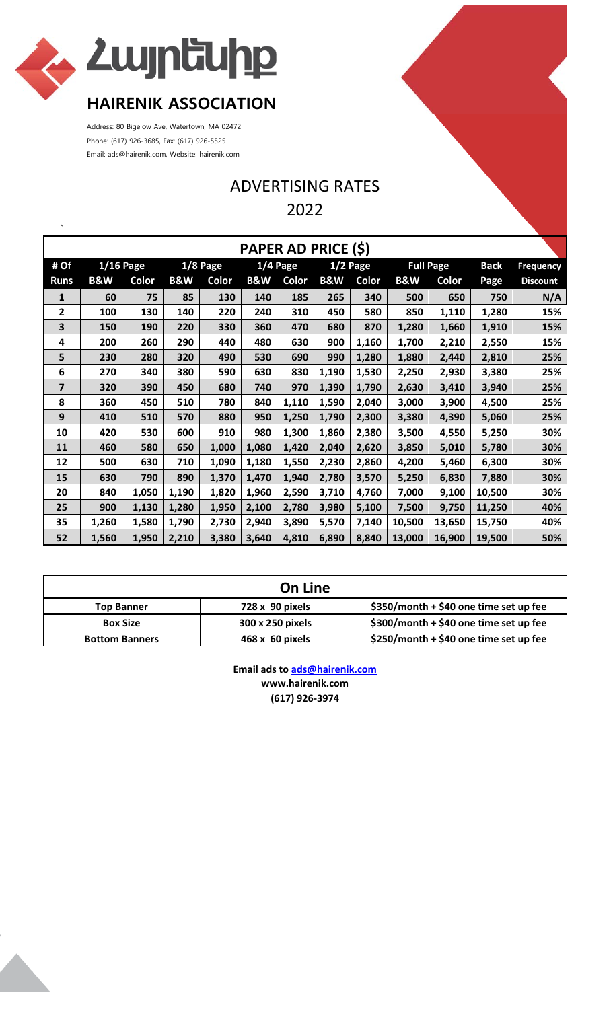

Address: 80 Bigelow Ave, Watertown, MA 02472 Phone: (617) 926-3685, Fax: (617) 926-5525 Email: ads@hairenik.com, Website: hairenik.com

## ADVERTISING RATES 2022

| PAPER AD PRICE (\$) |                |             |                |              |                |            |                |            |                |                  |             |                  |
|---------------------|----------------|-------------|----------------|--------------|----------------|------------|----------------|------------|----------------|------------------|-------------|------------------|
| # Of                |                | $1/16$ Page |                | $1/8$ Page   |                | $1/4$ Page |                | $1/2$ Page |                | <b>Full Page</b> | <b>Back</b> | <b>Frequency</b> |
| <b>Runs</b>         | <b>B&amp;W</b> | Color       | <b>B&amp;W</b> | <b>Color</b> | <b>B&amp;W</b> | Color      | <b>B&amp;W</b> | Color      | <b>B&amp;W</b> | Color            | Page        | <b>Discount</b>  |
| $\mathbf{1}$        | 60             | 75          | 85             | 130          | 140            | 185        | 265            | 340        | 500            | 650              | 750         | N/A              |
| 2                   | 100            | 130         | 140            | 220          | 240            | 310        | 450            | 580        | 850            | 1,110            | 1,280       | 15%              |
| 3                   | 150            | 190         | 220            | 330          | 360            | 470        | 680            | 870        | 1,280          | 1,660            | 1,910       | 15%              |
| 4                   | 200            | 260         | 290            | 440          | 480            | 630        | 900            | 1,160      | 1,700          | 2,210            | 2,550       | 15%              |
| 5                   | 230            | 280         | 320            | 490          | 530            | 690        | 990            | 1,280      | 1,880          | 2,440            | 2,810       | 25%              |
| 6                   | 270            | 340         | 380            | 590          | 630            | 830        | 1,190          | 1,530      | 2,250          | 2,930            | 3,380       | 25%              |
| 7                   | 320            | 390         | 450            | 680          | 740            | 970        | 1,390          | 1,790      | 2,630          | 3,410            | 3,940       | 25%              |
| 8                   | 360            | 450         | 510            | 780          | 840            | 1,110      | 1,590          | 2,040      | 3,000          | 3,900            | 4,500       | 25%              |
| 9                   | 410            | 510         | 570            | 880          | 950            | 1,250      | 1,790          | 2,300      | 3,380          | 4,390            | 5,060       | 25%              |
| 10                  | 420            | 530         | 600            | 910          | 980            | 1,300      | 1,860          | 2,380      | 3,500          | 4,550            | 5,250       | 30%              |
| 11                  | 460            | 580         | 650            | 1,000        | 1,080          | 1,420      | 2,040          | 2,620      | 3,850          | 5,010            | 5,780       | 30%              |
| 12                  | 500            | 630         | 710            | 1,090        | 1,180          | 1,550      | 2,230          | 2,860      | 4,200          | 5,460            | 6,300       | 30%              |
| 15                  | 630            | 790         | 890            | 1,370        | 1,470          | 1,940      | 2,780          | 3,570      | 5,250          | 6,830            | 7,880       | 30%              |
| 20                  | 840            | 1,050       | 1,190          | 1,820        | 1,960          | 2,590      | 3,710          | 4,760      | 7,000          | 9,100            | 10,500      | 30%              |
| 25                  | 900            | 1,130       | 1,280          | 1,950        | 2,100          | 2,780      | 3,980          | 5,100      | 7,500          | 9,750            | 11,250      | 40%              |
| 35                  | 1,260          | 1,580       | 1,790          | 2,730        | 2,940          | 3,890      | 5,570          | 7,140      | 10,500         | 13,650           | 15,750      | 40%              |
| 52                  | 1,560          | 1,950       | 2,210          | 3,380        | 3,640          | 4,810      | 6,890          | 8,840      | 13,000         | 16,900           | 19,500      | 50%              |

| <b>On Line</b>        |                  |                                          |  |  |  |
|-----------------------|------------------|------------------------------------------|--|--|--|
| <b>Top Banner</b>     | 728 x 90 pixels  | $$350/m$ onth + \$40 one time set up fee |  |  |  |
| <b>Box Size</b>       | 300 x 250 pixels | \$300/month + \$40 one time set up fee   |  |  |  |
| <b>Bottom Banners</b> | 468 x 60 pixels  | \$250/month + \$40 one time set up fee   |  |  |  |

**Email ads to ads@hairenik.com www.hairenik.com (617) 926‐3974**